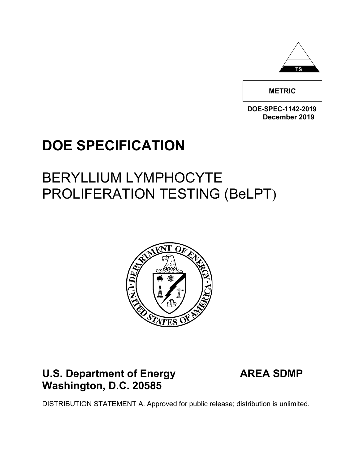

**METRIC**

**DOE-SPEC-1142-2019 December 2019**

# **DOE SPECIFICATION**

# BERYLLIUM LYMPHOCYTE PROLIFERATION TESTING (BeLPT)



## **U.S. Department of Energy AREA SDMP Washington, D.C. 20585**



DISTRIBUTION STATEMENT A. Approved for public release; distribution is unlimited.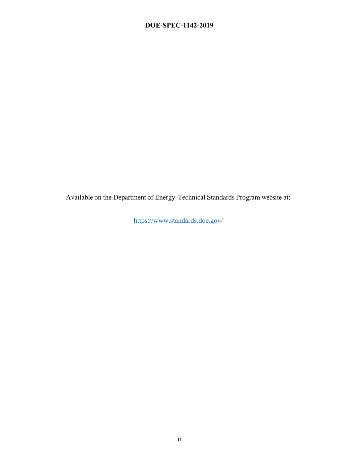Available on the Department of Energy Technical Standards Program website at:

[https://ww](https://w/)w.standards.doe.gov/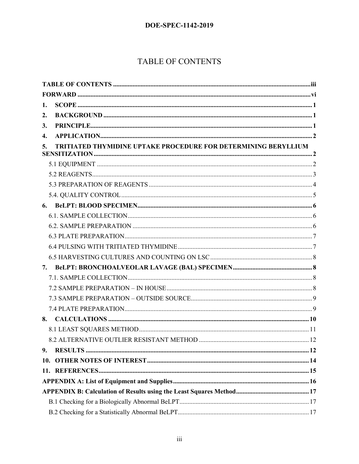### TABLE OF CONTENTS

<span id="page-2-0"></span>

| 1.                                                                   |  |
|----------------------------------------------------------------------|--|
| 2.                                                                   |  |
| 3.                                                                   |  |
| $\boldsymbol{4}$ .                                                   |  |
| TRITIATED THYMIDINE UPTAKE PROCEDURE FOR DETERMINING BERYLLIUM<br>5. |  |
|                                                                      |  |
|                                                                      |  |
|                                                                      |  |
|                                                                      |  |
| 6.                                                                   |  |
|                                                                      |  |
|                                                                      |  |
|                                                                      |  |
|                                                                      |  |
|                                                                      |  |
|                                                                      |  |
|                                                                      |  |
|                                                                      |  |
|                                                                      |  |
|                                                                      |  |
|                                                                      |  |
|                                                                      |  |
|                                                                      |  |
| 9.                                                                   |  |
| 10.                                                                  |  |
| 11.                                                                  |  |
|                                                                      |  |
|                                                                      |  |
|                                                                      |  |
|                                                                      |  |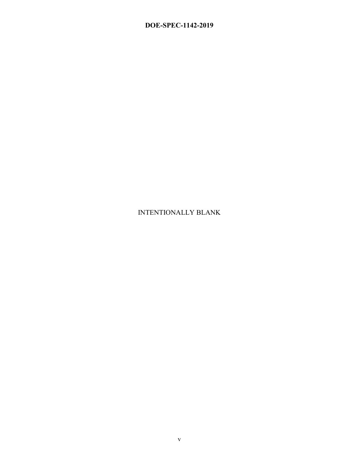#### INTENTIONALLY BLANK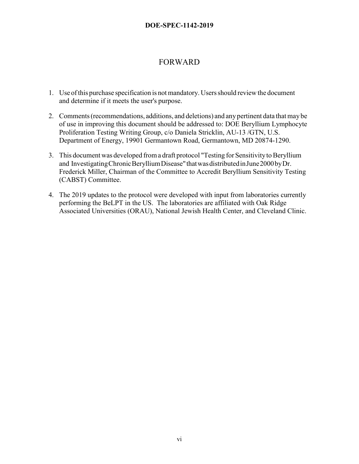### FORWARD

- <span id="page-5-0"></span>1. Use ofthis purchase specification is notmandatory. Usersshould reviewthe document and determine if it meets the user's purpose.
- 2. Comments(recommendations, additions, and deletions) and any pertinent data thatmay be of use in improving this document should be addressed to: DOE Beryllium Lymphocyte Proliferation Testing Writing Group, c/o Daniela Stricklin, AU-13 /GTN, U.S. Department of Energy, 19901 Germantown Road, Germantown, MD 20874-1290.
- 3. This document was developed from a draft protocol "Testing for Sensitivity to Beryllium and Investigating Chronic Beryllium Disease" that was distributed in June 2000 by Dr. Frederick Miller, Chairman of the Committee to Accredit Beryllium Sensitivity Testing (CABST) Committee.
- 4. The 2019 updates to the protocol were developed with input from laboratories currently performing the BeLPT in the US. The laboratories are affiliated with Oak Ridge Associated Universities (ORAU), National Jewish Health Center, and Cleveland Clinic.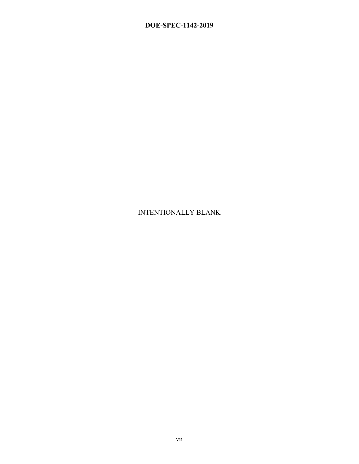### INTENTIONALLY BLANK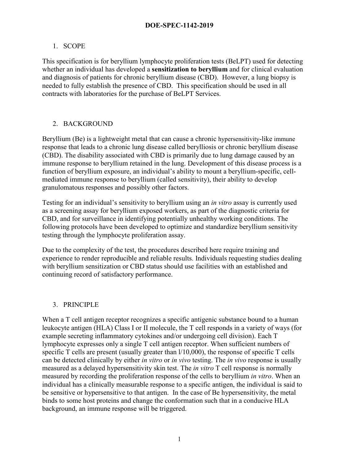#### <span id="page-7-0"></span>1. SCOPE

This specification is for beryllium lymphocyte proliferation tests (BeLPT) used for detecting whether an individual has developed a **sensitization to beryllium** and for clinical evaluation and diagnosis of patients for chronic beryllium disease (CBD). However, a lung biopsy is needed to fully establish the presence of CBD. This specification should be used in all contracts with laboratories for the purchase of BeLPT Services.

#### <span id="page-7-1"></span>2. BACKGROUND

Beryllium (Be) is a lightweight metal that can cause a chronic hypersensitivity-like immune response that leads to a chronic lung disease called berylliosis or chronic beryllium disease (CBD). The disability associated with CBD is primarily due to lung damage caused by an immune response to beryllium retained in the lung. Development of this disease process is a function of beryllium exposure, an individual's ability to mount a beryllium-specific, cellmediated immune response to beryllium (called sensitivity), their ability to develop granulomatous responses and possibly other factors.

Testing for an individual's sensitivity to beryllium using an *in vitro* assay is currently used as a screening assay for beryllium exposed workers, as part of the diagnostic criteria for CBD, and for surveillance in identifying potentially unhealthy working conditions. The following protocols have been developed to optimize and standardize beryllium sensitivity testing through the lymphocyte proliferation assay.

Due to the complexity of the test, the procedures described here require training and experience to render reproducible and reliable results. Individuals requesting studies dealing with beryllium sensitization or CBD status should use facilities with an established and continuing record of satisfactory performance.

#### <span id="page-7-2"></span>3. PRINCIPLE

When a T cell antigen receptor recognizes a specific antigenic substance bound to a human leukocyte antigen (HLA) Class I or II molecule, the T cell responds in a variety of ways (for example secreting inflammatory cytokines and/or undergoing cell division). Each T lymphocyte expresses only a single T cell antigen receptor. When sufficient numbers of specific T cells are present (usually greater than l/10,000), the response of specific T cells can be detected clinically by either *in vitro* or *in vivo* testing. The *in vivo* response is usually measured as a delayed hypersensitivity skin test. The *in vitro* T cell response is normally measured by recording the proliferation response of the cells to beryllium *in vitro*. When an individual has a clinically measurable response to a specific antigen, the individual is said to be sensitive or hypersensitive to that antigen. In the case of Be hypersensitivity, the metal binds to some host proteins and change the conformation such that in a conducive HLA background, an immune response will be triggered.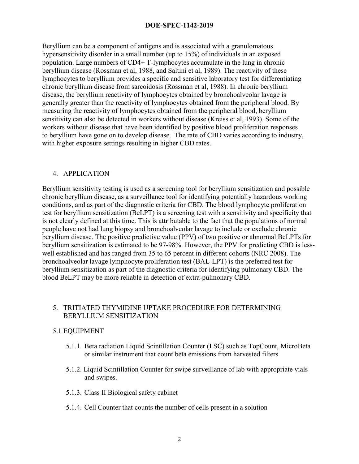Beryllium can be a component of antigens and is associated with a granulomatous hypersensitivity disorder in a small number (up to 15%) of individuals in an exposed population. Large numbers of CD4+ T-lymphocytes accumulate in the lung in chronic beryllium disease (Rossman et al, 1988, and Saltini et al, 1989). The reactivity of these lymphocytes to beryllium provides a specific and sensitive laboratory test for differentiating chronic beryllium disease from sarcoidosis (Rossman et al, 1988). In chronic beryllium disease, the beryllium reactivity of lymphocytes obtained by bronchoalveolar lavage is generally greater than the reactivity of lymphocytes obtained from the peripheral blood. By measuring the reactivity of lymphocytes obtained from the peripheral blood, beryllium sensitivity can also be detected in workers without disease (Kreiss et al, 1993). Some of the workers without disease that have been identified by positive blood proliferation responses to beryllium have gone on to develop disease. The rate of CBD varies according to industry, with higher exposure settings resulting in higher CBD rates.

#### <span id="page-8-0"></span>4. APPLICATION

Beryllium sensitivity testing is used as a screening tool for beryllium sensitization and possible chronic beryllium disease, as a surveillance tool for identifying potentially hazardous working conditions, and as part of the diagnostic criteria for CBD. The blood lymphocyte proliferation test for beryllium sensitization (BeLPT) is a screening test with a sensitivity and specificity that is not clearly defined at this time. This is attributable to the fact that the populations of normal people have not had lung biopsy and bronchoalveolar lavage to include or exclude chronic beryllium disease. The positive predictive value (PPV) of two positive or abnormal BeLPTs for beryllium sensitization is estimated to be 97-98%. However, the PPV for predicting CBD is lesswell established and has ranged from 35 to 65 percent in different cohorts (NRC 2008). The bronchoalveolar lavage lymphocyte proliferation test (BAL-LPT) is the preferred test for beryllium sensitization as part of the diagnostic criteria for identifying pulmonary CBD. The blood BeLPT may be more reliable in detection of extra-pulmonary CBD.

#### <span id="page-8-1"></span>5. TRITIATED THYMIDINE UPTAKE PROCEDURE FOR DETERMINING BERYLLIUM SENSITIZATION

#### <span id="page-8-2"></span>5.1 EQUIPMENT

- 5.1.1. Beta radiation Liquid Scintillation Counter (LSC) such as TopCount, MicroBeta or similar instrument that count beta emissions from harvested filters
- 5.1.2. Liquid Scintillation Counter for swipe surveillance of lab with appropriate vials and swipes.
- 5.1.3. Class II Biological safety cabinet
- 5.1.4. Cell Counter that counts the number of cells present in a solution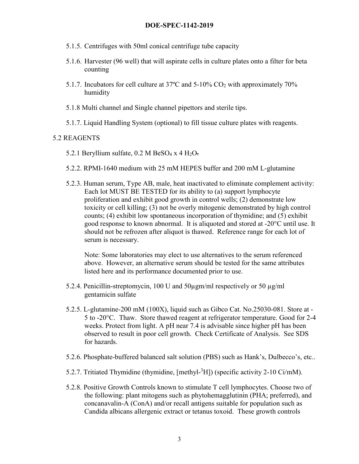- 5.1.5. Centrifuges with 50ml conical centrifuge tube capacity
- 5.1.6. Harvester (96 well) that will aspirate cells in culture plates onto a filter for beta counting
- 5.1.7. Incubators for cell culture at 37ºC and 5-10% CO2 with approximately 70% humidity
- 5.1.8 Multi channel and Single channel pipettors and sterile tips.
- 5.1.7. Liquid Handling System (optional) to fill tissue culture plates with reagents.

#### <span id="page-9-0"></span>5.2 REAGENTS

- 5.2.1 Beryllium sulfate,  $0.2$  M BeSO<sub>4</sub> x 4 H<sub>2</sub>O.
- 5.2.2. RPMI-1640 medium with 25 mM HEPES buffer and 200 mM L-glutamine
- 5.2.3. Human serum, Type AB, male, heat inactivated to eliminate complement activity: Each lot MUST BE TESTED for its ability to (a) support lymphocyte proliferation and exhibit good growth in control wells; (2) demonstrate low toxicity or cell killing; (3) not be overly mitogenic demonstrated by high control counts; (4) exhibit low spontaneous incorporation of thymidine; and (5) exhibit good response to known abnormal. It is aliquoted and stored at -20°C until use. It should not be refrozen after aliquot is thawed. Reference range for each lot of serum is necessary.

Note: Some laboratories may elect to use alternatives to the serum referenced above. However, an alternative serum should be tested for the same attributes listed here and its performance documented prior to use.

- 5.2.4. Penicillin-streptomycin, 100 U and 50µgm/ml respectively or 50 µg/ml gentamicin sulfate
- 5.2.5. L-glutamine-200 mM (100X), liquid such as Gibco Cat. No.25030-081. Store at 5 to -20°C. Thaw. Store thawed reagent at refrigerator temperature. Good for 2-4 weeks. Protect from light. A pH near 7.4 is advisable since higher pH has been observed to result in poor cell growth. Check Certificate of Analysis. See SDS for hazards.
- 5.2.6. Phosphate-buffered balanced salt solution (PBS) such as Hank's, Dulbecco's, etc..
- 5.2.7. Tritiated Thymidine (thymidine, [methyl-<sup>3</sup>H]) (specific activity 2-10 Ci/mM).
- 5.2.8. Positive Growth Controls known to stimulate T cell lymphocytes. Choose two of the following: plant mitogens such as phytohemagglutinin (PHA; preferred), and concanavalin-A (ConA) and/or recall antigens suitable for population such as Candida albicans allergenic extract or tetanus toxoid. These growth controls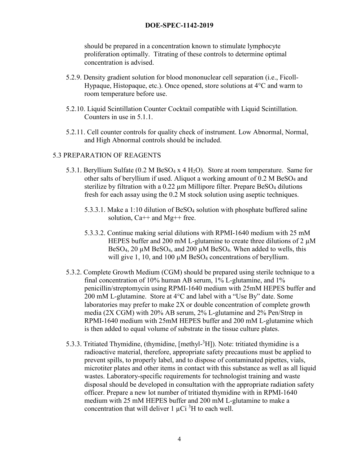should be prepared in a concentration known to stimulate lymphocyte proliferation optimally. Titrating of these controls to determine optimal concentration is advised.

- 5.2.9. Density gradient solution for blood mononuclear cell separation (i.e., Ficoll-Hypaque, Histopaque, etc.). Once opened, store solutions at 4°C and warm to room temperature before use.
- 5.2.10. Liquid Scintillation Counter Cocktail compatible with Liquid Scintillation. Counters in use in 5.1.1.
- 5.2.11. Cell counter controls for quality check of instrument. Low Abnormal, Normal, and High Abnormal controls should be included.

#### <span id="page-10-0"></span>5.3 PREPARATION OF REAGENTS

- 5.3.1. Beryllium Sulfate (0.2 M BeSO4 x 4 H2O). Store at room temperature. Same for other salts of beryllium if used. Aliquot a working amount of  $0.2 \text{ M } \text{BeSO}_4$  and sterilize by filtration with a  $0.22 \mu m$  Millipore filter. Prepare BeSO<sub>4</sub> dilutions fresh for each assay using the 0.2 M stock solution using aseptic techniques.
	- 5.3.3.1. Make a 1:10 dilution of BeSO4 solution with phosphate buffered saline solution,  $Ca++$  and Mg++ free.
	- 5.3.3.2. Continue making serial dilutions with RPMI-1640 medium with 25 mM HEPES buffer and 200 mM L-glutamine to create three dilutions of 2  $\mu$ M BeSO<sub>4</sub>, 20  $\mu$ M BeSO<sub>4</sub>, and 200  $\mu$ M BeSO<sub>4</sub>. When added to wells, this will give 1, 10, and 100  $\mu$ M BeSO<sub>4</sub> concentrations of beryllium.
- 5.3.2. Complete Growth Medium (CGM) should be prepared using sterile technique to a final concentration of 10% human AB serum, 1% L-glutamine, and 1% penicillin/streptomycin using RPMI-1640 medium with 25mM HEPES buffer and 200 mM L-glutamine. Store at 4°C and label with a "Use By" date. Some laboratories may prefer to make 2X or double concentration of complete growth media (2X CGM) with 20% AB serum, 2% L-glutamine and 2% Pen/Strep in RPMI-1640 medium with 25mM HEPES buffer and 200 mM L-glutamine which is then added to equal volume of substrate in the tissue culture plates.
- 5.3.3. Tritiated Thymidine, (thymidine, [methyl-3H]). Note: tritiated thymidine is a radioactive material, therefore, appropriate safety precautions must be applied to prevent spills, to properly label, and to dispose of contaminated pipettes, vials, microtiter plates and other items in contact with this substance as well as all liquid wastes. Laboratory-specific requirements for technologist training and waste disposal should be developed in consultation with the appropriate radiation safety officer. Prepare a new lot number of tritiated thymidine with in RPMI-1640 medium with 25 mM HEPES buffer and 200 mM L-glutamine to make a concentration that will deliver 1  $\mu$ Ci<sup>3</sup>H to each well.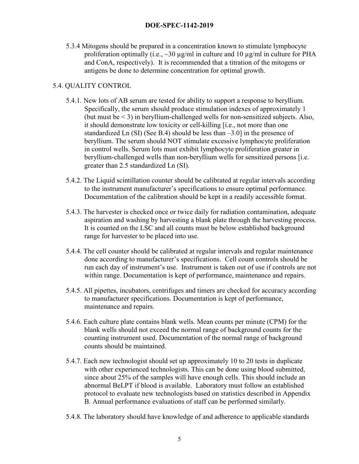5.3.4 Mitogens should be prepared in a concentration known to stimulate lymphocyte proliferation optimally (i.e.,  $\sim$ 30  $\mu$ g/ml in culture and 10  $\mu$ g/ml in culture for PHA and ConA, respectively). It is recommended that a titration of the mitogens or antigens be done to determine concentration for optimal growth.

#### <span id="page-11-0"></span>5.4. QUALITY CONTROL

- 5.4.1. New lots of AB serum are tested for ability to support a response to beryllium. Specifically, the serum should produce stimulation indexes of approximately 1 (but must be < 3) in beryllium-challenged wells for non-sensitized subjects. Also, it should demonstrate low toxicity or cell-killing [i.e., not more than one standardized Ln (SI) (See B.4) should be less than –3.0] in the presence of beryllium. The serum should NOT stimulate excessive lymphocyte proliferation in control wells. Serum lots must exhibit lymphocyte proliferation greater in beryllium-challenged wells than non-beryllium wells for sensitized persons [i.e. greater than 2.5 standardized Ln (SI).
- 5.4.2. The Liquid scintillation counter should be calibrated at regular intervals according to the instrument manufacturer's specifications to ensure optimal performance. Documentation of the calibration should be kept in a readily accessible format.
- 5.4.3. The harvester is checked once or twice daily for radiation contamination, adequate aspiration and washing by harvesting a blank plate through the harvesting process. It is counted on the LSC and all counts must be below established background range for harvester to be placed into use.
- 5.4.4. The cell counter should be calibrated at regular intervals and regular maintenance done according to manufacturer's specifications. Cell count controls should be run each day of instrument's use. Instrument is taken out of use if controls are not within range. Documentation is kept of performance, maintenance and repairs.
- 5.4.5. All pipettes, incubators, centrifuges and timers are checked for accuracy according to manufacturer specifications. Documentation is kept of performance, maintenance and repairs.
- 5.4.6. Each culture plate contains blank wells. Mean counts per minute (CPM) for the blank wells should not exceed the normal range of background counts for the counting instrument used. Documentation of the normal range of background counts should be maintained.
- 5.4.7. Each new technologist should set up approximately 10 to 20 tests in duplicate with other experienced technologists. This can be done using blood submitted, since about 25% of the samples will have enough cells. This should include an abnormal BeLPT if blood is available. Laboratory must follow an established protocol to evaluate new technologists based on statistics described in Appendix B. Annual performance evaluations of staff can be performed similarly.
- 5.4.8. The laboratory should have knowledge of and adherence to applicable standards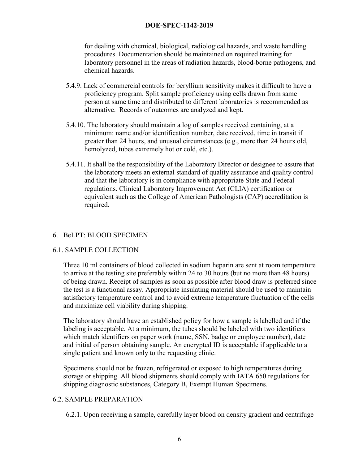for dealing with chemical, biological, radiological hazards, and waste handling procedures. Documentation should be maintained on required training for laboratory personnel in the areas of radiation hazards, blood-borne pathogens, and chemical hazards.

- 5.4.9. Lack of commercial controls for beryllium sensitivity makes it difficult to have a proficiency program. Split sample proficiency using cells drawn from same person at same time and distributed to different laboratories is recommended as alternative. Records of outcomes are analyzed and kept.
- 5.4.10. The laboratory should maintain a log of samples received containing, at a minimum: name and/or identification number, date received, time in transit if greater than 24 hours, and unusual circumstances (e.g., more than 24 hours old, hemolyzed, tubes extremely hot or cold, etc.).
- 5.4.11. It shall be the responsibility of the Laboratory Director or designee to assure that the laboratory meets an external standard of quality assurance and quality control and that the laboratory is in compliance with appropriate State and Federal regulations. Clinical Laboratory Improvement Act (CLIA) certification or equivalent such as the College of American Pathologists (CAP) accreditation is required.

#### <span id="page-12-0"></span>6. BeLPT: BLOOD SPECIMEN

#### <span id="page-12-1"></span>6.1. SAMPLE COLLECTION

Three 10 ml containers of blood collected in sodium heparin are sent at room temperature to arrive at the testing site preferably within 24 to 30 hours (but no more than 48 hours) of being drawn. Receipt of samples as soon as possible after blood draw is preferred since the test is a functional assay. Appropriate insulating material should be used to maintain satisfactory temperature control and to avoid extreme temperature fluctuation of the cells and maximize cell viability during shipping.

The laboratory should have an established policy for how a sample is labelled and if the labeling is acceptable. At a minimum, the tubes should be labeled with two identifiers which match identifiers on paper work (name, SSN, badge or employee number), date and initial of person obtaining sample. An encrypted ID is acceptable if applicable to a single patient and known only to the requesting clinic.

Specimens should not be frozen, refrigerated or exposed to high temperatures during storage or shipping. All blood shipments should comply with IATA 650 regulations for shipping diagnostic substances, Category B, Exempt Human Specimens.

#### <span id="page-12-2"></span>6.2. SAMPLE PREPARATION

6.2.1. Upon receiving a sample, carefully layer blood on density gradient and centrifuge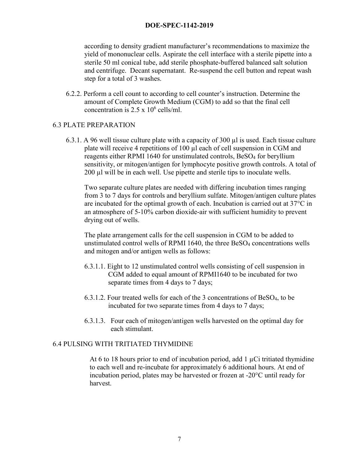according to density gradient manufacturer's recommendations to maximize the yield of mononuclear cells. Aspirate the cell interface with a sterile pipette into a sterile 50 ml conical tube, add sterile phosphate-buffered balanced salt solution and centrifuge. Decant supernatant. Re-suspend the cell button and repeat wash step for a total of 3 washes.

6.2.2. Perform a cell count to according to cell counter's instruction. Determine the amount of Complete Growth Medium (CGM) to add so that the final cell concentration is  $2.5 \times 10^6$  cells/ml.

#### <span id="page-13-0"></span>6.3 PLATE PREPARATION

6.3.1. A 96 well tissue culture plate with a capacity of 300 µl is used. Each tissue culture plate will receive 4 repetitions of 100 µl each of cell suspension in CGM and reagents either RPMI 1640 for unstimulated controls, BeSO4 for beryllium sensitivity, or mitogen/antigen for lymphocyte positive growth controls. A total of 200 µl will be in each well. Use pipette and sterile tips to inoculate wells.

Two separate culture plates are needed with differing incubation times ranging from 3 to 7 days for controls and beryllium sulfate. Mitogen/antigen culture plates are incubated for the optimal growth of each. Incubation is carried out at  $37^{\circ}$ C in an atmosphere of 5-10% carbon dioxide-air with sufficient humidity to prevent drying out of wells.

The plate arrangement calls for the cell suspension in CGM to be added to unstimulated control wells of RPMI 1640, the three BeSO4 concentrations wells and mitogen and/or antigen wells as follows:

- 6.3.1.1. Eight to 12 unstimulated control wells consisting of cell suspension in CGM added to equal amount of RPMI1640 to be incubated for two separate times from 4 days to 7 days;
- 6.3.1.2. Four treated wells for each of the 3 concentrations of BeSO4, to be incubated for two separate times from 4 days to 7 days;
- 6.3.1.3. Four each of mitogen/antigen wells harvested on the optimal day for each stimulant.

#### <span id="page-13-1"></span>6.4 PULSING WITH TRITIATED THYMIDINE

At 6 to 18 hours prior to end of incubation period, add 1  $\mu$ Ci tritiated thymidine to each well and re-incubate for approximately 6 additional hours. At end of incubation period, plates may be harvested or frozen at -20°C until ready for harvest.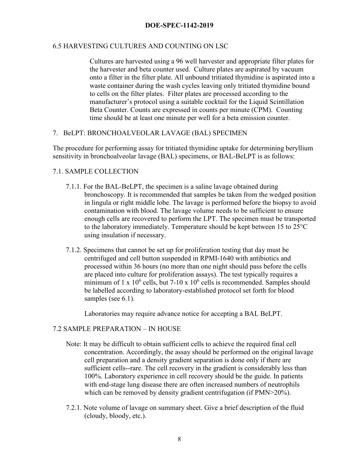#### <span id="page-14-0"></span>6.5 HARVESTING CULTURES AND COUNTING ON LSC

Cultures are harvested using a 96 well harvester and appropriate filter plates for the harvester and beta counter used. Culture plates are aspirated by vacuum onto a filter in the filter plate. All unbound tritiated thymidine is aspirated into a waste container during the wash cycles leaving only tritiated thymidine bound to cells on the filter plates. Filter plates are processed according to the manufacturer's protocol using a suitable cocktail for the Liquid Scintillation Beta Counter. Counts are expressed in counts per minute (CPM). Counting time should be at least one minute per well for a beta emission counter.

#### <span id="page-14-1"></span>7. BeLPT: BRONCHOALVEOLAR LAVAGE (BAL) SPECIMEN

The procedure for performing assay for tritiated thymidine uptake for determining beryllium sensitivity in bronchoalveolar lavage (BAL) specimens, or BAL-BeLPT is as follows:

#### <span id="page-14-2"></span>7.1. SAMPLE COLLECTION

- 7.1.1. For the BAL-BeLPT, the specimen is a saline lavage obtained during bronchoscopy. It is recommended that samples be taken from the wedged position in lingula or right middle lobe. The lavage is performed before the biopsy to avoid contamination with blood. The lavage volume needs to be sufficient to ensure enough cells are recovered to perform the LPT. The specimen must be transported to the laboratory immediately. Temperature should be kept between 15 to 25°C using insulation if necessary.
- 7.1.2. Specimens that cannot be set up for proliferation testing that day must be centrifuged and cell button suspended in RPMI-1640 with antibiotics and processed within 36 hours (no more than one night should pass before the cells are placed into culture for proliferation assays). The test typically requires a minimum of 1 x  $10^6$  cells, but 7-10 x  $10^6$  cells is recommended. Samples should be labelled according to laboratory-established protocol set forth for blood samples (see 6.1).

Laboratories may require advance notice for accepting a BAL BeLPT.

#### <span id="page-14-3"></span>7.2 SAMPLE PREPARATION – IN HOUSE

- Note: It may be difficult to obtain sufficient cells to achieve the required final cell concentration. Accordingly, the assay should be performed on the original lavage cell preparation and a density gradient separation is done only if there are sufficient cells--rare. The cell recovery in the gradient is considerably less than 100%. Laboratory experience in cell recovery should be the guide. In patients with end-stage lung disease there are often increased numbers of neutrophils which can be removed by density gradient centrifugation (if PMN>20%).
- 7.2.1. Note volume of lavage on summary sheet. Give a brief description of the fluid (cloudy, bloody, etc.).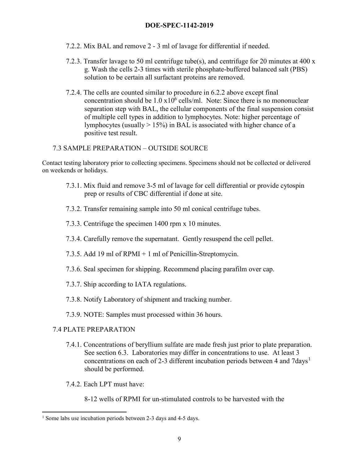- 7.2.2. Mix BAL and remove 2 3 ml of lavage for differential if needed.
- 7.2.3. Transfer lavage to 50 ml centrifuge tube(s), and centrifuge for 20 minutes at 400 x g. Wash the cells 2-3 times with sterile phosphate-buffered balanced salt (PBS) solution to be certain all surfactant proteins are removed.
- 7.2.4. The cells are counted similar to procedure in 6.2.2 above except final concentration should be  $1.0 \times 10^6$  cells/ml. Note: Since there is no mononuclear separation step with BAL, the cellular components of the final suspension consist of multiple cell types in addition to lymphocytes. Note: higher percentage of lymphocytes (usually  $> 15\%$ ) in BAL is associated with higher chance of a positive test result.

#### <span id="page-15-0"></span>7.3 SAMPLE PREPARATION – OUTSIDE SOURCE

Contact testing laboratory prior to collecting specimens. Specimens should not be collected or delivered on weekends or holidays.

- 7.3.1. Mix fluid and remove 3-5 ml of lavage for cell differential or provide cytospin prep or results of CBC differential if done at site.
- 7.3.2. Transfer remaining sample into 50 ml conical centrifuge tubes.
- 7.3.3. Centrifuge the specimen 1400 rpm x 10 minutes.
- 7.3.4. Carefully remove the supernatant. Gently resuspend the cell pellet.
- 7.3.5. Add 19 ml of RPMI + 1 ml of Penicillin-Streptomycin.
- 7.3.6. Seal specimen for shipping. Recommend placing parafilm over cap.
- 7.3.7. Ship according to IATA regulations.
- 7.3.8. Notify Laboratory of shipment and tracking number.
- 7.3.9. NOTE: Samples must processed within 36 hours.

#### <span id="page-15-1"></span>7.4 PLATE PREPARATION

- 7.4.1. Concentrations of beryllium sulfate are made fresh just prior to plate preparation. See section 6.3. Laboratories may differ in concentrations to use. At least 3 concentrations on each of 2-3 different incubation periods between 4 and  $7$ days<sup>[1](#page-15-2)</sup> should be performed.
- 7.4.2. Each LPT must have:
	- 8-12 wells of RPMI for un-stimulated controls to be harvested with the

<span id="page-15-2"></span><sup>&</sup>lt;sup>1</sup> Some labs use incubation periods between 2-3 days and 4-5 days.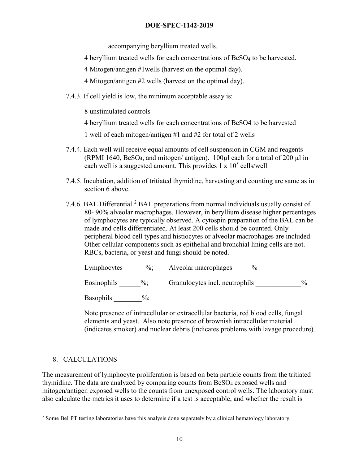accompanying beryllium treated wells.

- 4 beryllium treated wells for each concentrations of BeSO4 to be harvested.
- 4 Mitogen/antigen #1wells (harvest on the optimal day).
- 4 Mitogen/antigen #2 wells (harvest on the optimal day).
- 7.4.3. If cell yield is low, the minimum acceptable assay is:

8 unstimulated controls

4 beryllium treated wells for each concentrations of BeSO4 to be harvested

1 well of each mitogen/antigen #1 and #2 for total of 2 wells

- 7.4.4. Each well will receive equal amounts of cell suspension in CGM and reagents (RPMI 1640, BeSO<sub>4</sub>, and mitogen/ antigen). 100 $\mu$ l each for a total of 200  $\mu$ l in each well is a suggested amount. This provides  $1 \times 10^5$  cells/well
- 7.4.5. Incubation, addition of tritiated thymidine, harvesting and counting are same as in section 6 above.
- 7.4.6. BAL Differential.<sup>[2](#page-16-1)</sup> BAL preparations from normal individuals usually consist of 80- 90% alveolar macrophages. However, in beryllium disease higher percentages of lymphocytes are typically observed. A cytospin preparation of the BAL can be made and cells differentiated. At least 200 cells should be counted. Only peripheral blood cell types and histiocytes or alveolar macrophages are included. Other cellular components such as epithelial and bronchial lining cells are not. RBCs, bacteria, or yeast and fungi should be noted.

| Lymphocytes<br>$\frac{0}{0}$ ; | Alveolar macrophages<br>$\frac{0}{0}$ |               |
|--------------------------------|---------------------------------------|---------------|
| Eosinophils<br>$\frac{6}{3}$   | Granulocytes incl. neutrophils        | $\frac{0}{0}$ |
| Basophils<br>$\frac{0}{0}$ .   |                                       |               |

Note presence of intracellular or extracellular bacteria, red blood cells, fungal elements and yeast. Also note presence of brownish intracellular material (indicates smoker) and nuclear debris (indicates problems with lavage procedure).

### <span id="page-16-0"></span>8. CALCULATIONS

The measurement of lymphocyte proliferation is based on beta particle counts from the tritiated thymidine. The data are analyzed by comparing counts from BeSO<sub>4</sub> exposed wells and mitogen/antigen exposed wells to the counts from unexposed control wells. The laboratory must also calculate the metrics it uses to determine if a test is acceptable, and whether the result is

<span id="page-16-1"></span> <sup>2</sup> Some BeLPT testing laboratories have this analysis done separately by a clinical hematology laboratory.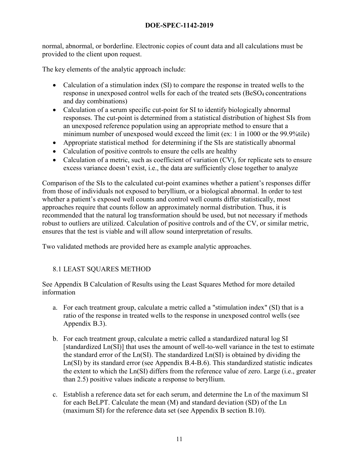normal, abnormal, or borderline. Electronic copies of count data and all calculations must be provided to the client upon request.

The key elements of the analytic approach include:

- Calculation of a stimulation index (SI) to compare the response in treated wells to the response in unexposed control wells for each of the treated sets (BeSO<sub>4</sub> concentrations and day combinations)
- Calculation of a serum specific cut-point for SI to identify biologically abnormal responses. The cut-point is determined from a statistical distribution of highest SIs from an unexposed reference population using an appropriate method to ensure that a minimum number of unexposed would exceed the limit (ex: 1 in 1000 or the 99.9%tile)
- Appropriate statistical method for determining if the SIs are statistically abnormal
- Calculation of positive controls to ensure the cells are healthy
- Calculation of a metric, such as coefficient of variation (CV), for replicate sets to ensure excess variance doesn't exist, i.e., the data are sufficiently close together to analyze

Comparison of the SIs to the calculated cut-point examines whether a patient's responses differ from those of individuals not exposed to beryllium, or a biological abnormal. In order to test whether a patient's exposed well counts and control well counts differ statistically, most approaches require that counts follow an approximately normal distribution. Thus, it is recommended that the natural log transformation should be used, but not necessary if methods robust to outliers are utilized. Calculation of positive controls and of the CV, or similar metric, ensures that the test is viable and will allow sound interpretation of results.

Two validated methods are provided here as example analytic approaches.

#### <span id="page-17-0"></span>8.1 LEAST SQUARES METHOD

See Appendix B Calculation of Results using the Least Squares Method for more detailed information

- a. For each treatment group, calculate a metric called a "stimulation index" (SI) that is a ratio of the response in treated wells to the response in unexposed control wells (see Appendix B.3).
- b. For each treatment group, calculate a metric called a standardized natural log SI [standardized Ln(SI)] that uses the amount of well-to-well variance in the test to estimate the standard error of the Ln(SI). The standardized Ln(SI) is obtained by dividing the Ln(SI) by its standard error (see Appendix B.4-B.6). This standardized statistic indicates the extent to which the Ln(SI) differs from the reference value of zero. Large (i.e., greater than 2.5) positive values indicate a response to beryllium.
- c. Establish a reference data set for each serum, and determine the Ln of the maximum SI for each BeLPT. Calculate the mean (M) and standard deviation (SD) of the Ln (maximum SI) for the reference data set (see Appendix B section B.10).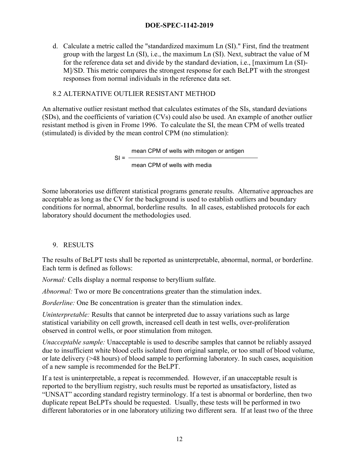d. Calculate a metric called the "standardized maximum Ln (SI)." First, find the treatment group with the largest Ln (SI), i.e., the maximum Ln (SI). Next, subtract the value of M for the reference data set and divide by the standard deviation, i.e., [maximum Ln (SI)- M]/SD. This metric compares the strongest response for each BeLPT with the strongest responses from normal individuals in the reference data set.

#### <span id="page-18-0"></span>8.2 ALTERNATIVE OUTLIER RESISTANT METHOD

An alternative outlier resistant method that calculates estimates of the SIs, standard deviations (SDs), and the coefficients of variation (CVs) could also be used. An example of another outlier resistant method is given in Frome 1996. To calculate the SI, the mean CPM of wells treated (stimulated) is divided by the mean control CPM (no stimulation):

> $SI =$ mean CPM of wells with mitogen or antigen mean CPM of wells with media

Some laboratories use different statistical programs generate results. Alternative approaches are acceptable as long as the CV for the background is used to establish outliers and boundary conditions for normal, abnormal, borderline results. In all cases, established protocols for each laboratory should document the methodologies used.

#### <span id="page-18-1"></span>9. RESULTS

The results of BeLPT tests shall be reported as uninterpretable, abnormal, normal, or borderline. Each term is defined as follows:

*Normal:* Cells display a normal response to beryllium sulfate.

*Abnormal:* Two or more Be concentrations greater than the stimulation index.

*Borderline:* One Be concentration is greater than the stimulation index.

*Uninterpretable:* Results that cannot be interpreted due to assay variations such as large statistical variability on cell growth, increased cell death in test wells, over-proliferation observed in control wells, or poor stimulation from mitogen.

*Unacceptable sample:* Unacceptable is used to describe samples that cannot be reliably assayed due to insufficient white blood cells isolated from original sample, or too small of blood volume, or late delivery (>48 hours) of blood sample to performing laboratory. In such cases, acquisition of a new sample is recommended for the BeLPT.

If a test is uninterpretable, a repeat is recommended. However, if an unacceptable result is reported to the beryllium registry, such results must be reported as unsatisfactory, listed as "UNSAT" according standard registry terminology. If a test is abnormal or borderline, then two duplicate repeat BeLPTs should be requested. Usually, these tests will be performed in two different laboratories or in one laboratory utilizing two different sera. If at least two of the three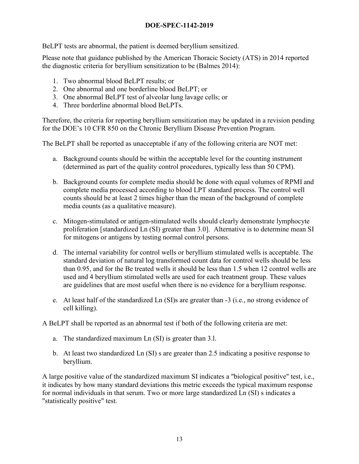BeLPT tests are abnormal, the patient is deemed beryllium sensitized.

Please note that guidance published by the American Thoracic Society (ATS) in 2014 reported the diagnostic criteria for beryllium sensitization to be (Balmes 2014):

- 1. Two abnormal blood BeLPT results; or
- 2. One abnormal and one borderline blood BeLPT; or
- 3. One abnormal BeLPT test of alveolar lung lavage cells; or
- 4. Three borderline abnormal blood BeLPTs.

Therefore, the criteria for reporting beryllium sensitization may be updated in a revision pending for the DOE's 10 CFR 850 on the Chronic Beryllium Disease Prevention Program.

The BeLPT shall be reported as unacceptable if any of the following criteria are NOT met:

- a. Background counts should be within the acceptable level for the counting instrument (determined as part of the quality control procedures, typically less than 50 CPM).
- b. Background counts for complete media should be done with equal volumes of RPMI and complete media processed according to blood LPT standard process. The control well counts should be at least 2 times higher than the mean of the background of complete media counts (as a qualitative measure).
- c. Mitogen-stimulated or antigen-stimulated wells should clearly demonstrate lymphocyte proliferation [standardized Ln (SI) greater than 3.0]. Alternative is to determine mean SI for mitogens or antigens by testing normal control persons.
- d. The internal variability for control wells or beryllium stimulated wells is acceptable. The standard deviation of natural log transformed count data for control wells should be less than 0.95, and for the Be treated wells it should be less than 1.5 when 12 control wells are used and 4 beryllium stimulated wells are used for each treatment group. These values are guidelines that are most useful when there is no evidence for a beryllium response.
- e. At least half of the standardized Ln (SI)s are greater than -3 (i.e., no strong evidence of cell killing).

A BeLPT shall be reported as an abnormal test if both of the following criteria are met:

- a. The standardized maximum Ln (SI) is greater than 3.l.
- b. At least two standardized Ln (SI) s are greater than 2.5 indicating a positive response to beryllium.

A large positive value of the standardized maximum SI indicates a "biological positive" test, i.e., it indicates by how many standard deviations this metric exceeds the typical maximum response for normal individuals in that serum. Two or more large standardized Ln (SI) s indicates a "statistically positive" test.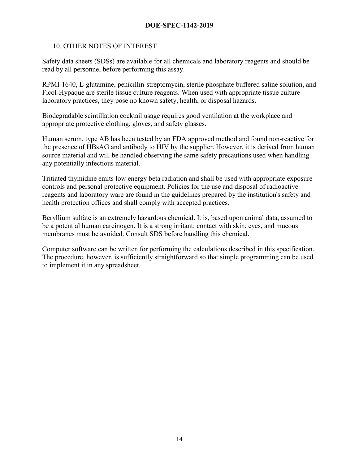#### <span id="page-20-0"></span>10. OTHER NOTES OF INTEREST

Safety data sheets (SDSs) are available for all chemicals and laboratory reagents and should be read by all personnel before performing this assay.

RPMI-1640, L-glutamine, penicillin-streptomycin, sterile phosphate buffered saline solution, and Ficol-Hypaque are sterile tissue culture reagents. When used with appropriate tissue culture laboratory practices, they pose no known safety, health, or disposal hazards.

Biodegradable scintillation cocktail usage requires good ventilation at the workplace and appropriate protective clothing, gloves, and safety glasses.

Human serum, type AB has been tested by an FDA approved method and found non-reactive for the presence of HBsAG and antibody to HIV by the supplier. However, it is derived from human source material and will be handled observing the same safety precautions used when handling any potentially infectious material.

Tritiated thymidine emits low energy beta radiation and shall be used with appropriate exposure controls and personal protective equipment. Policies for the use and disposal of radioactive reagents and laboratory ware are found in the guidelines prepared by the institution's safety and health protection offices and shall comply with accepted practices.

Beryllium sulfate is an extremely hazardous chemical. It is, based upon animal data, assumed to be a potential human carcinogen. It is a strong irritant; contact with skin, eyes, and mucous membranes must be avoided. Consult SDS before handling this chemical.

Computer software can be written for performing the calculations described in this specification. The procedure, however, is sufficiently straightforward so that simple programming can be used to implement it in any spreadsheet.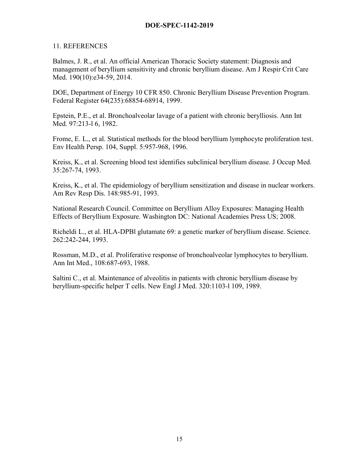#### <span id="page-21-0"></span>11. REFERENCES

Balmes, J. R., et al. An official American Thoracic Society statement: Diagnosis and management of beryllium sensitivity and chronic beryllium disease. Am J Respir Crit Care Med. 190(10):e34-59, 2014.

DOE, Department of Energy 10 CFR 850. Chronic Beryllium Disease Prevention Program. Federal Register 64(235):68854-68914, 1999.

Epstein, P.E., et al. Bronchoalveolar lavage of a patient with chronic berylliosis. Ann Int Med. 97:213-l 6, 1982.

Frome, E. L., et al. Statistical methods for the blood beryllium lymphocyte proliferation test. Env Health Persp. 104, Suppl. 5:957-968, 1996.

Kreiss, K., et al. Screening blood test identifies subclinical beryllium disease. J Occup Med. 35:267-74, 1993.

Kreiss, K., et al. The epidemiology of beryllium sensitization and disease in nuclear workers. Am Rev Resp Dis. 148:985-91, 1993.

National Research Council. Committee on Beryllium Alloy Exposures: Managing Health Effects of Beryllium Exposure. Washington DC: National Academies Press US; 2008.

Richeldi L., et al. HLA-DPBl glutamate 69: a genetic marker of beryllium disease. Science. 262:242-244, 1993.

Rossman, M.D., et al. Proliferative response of bronchoalveolar lymphocytes to beryllium. Ann Int Med., 108:687-693, 1988.

Saltini C., et al. Maintenance of alveolitis in patients with chronic beryllium disease by beryllium-specific helper T cells. New Engl J Med. 320:1103-l 109, 1989.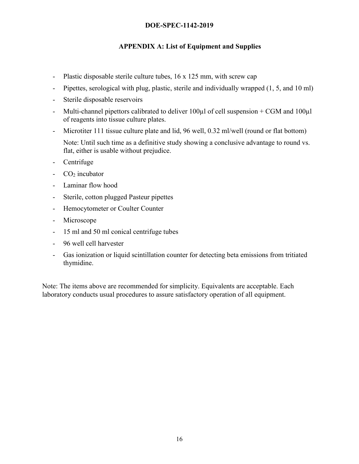#### **APPENDIX A: List of Equipment and Supplies**

- <span id="page-22-0"></span>- Plastic disposable sterile culture tubes, 16 x 125 mm, with screw cap
- Pipettes, serological with plug, plastic, sterile and individually wrapped (1, 5, and 10 ml)
- Sterile disposable reservoirs
- Multi-channel pipettors calibrated to deliver 100µl of cell suspension + CGM and 100µl of reagents into tissue culture plates.
- Microtiter 111 tissue culture plate and lid, 96 well, 0.32 ml/well (round or flat bottom)

Note: Until such time as a definitive study showing a conclusive advantage to round vs. flat, either is usable without prejudice.

- Centrifuge
- $-CO<sub>2</sub>$  incubator
- Laminar flow hood
- Sterile, cotton plugged Pasteur pipettes
- Hemocytometer or Coulter Counter
- Microscope
- 15 ml and 50 ml conical centrifuge tubes
- 96 well cell harvester
- Gas ionization or liquid scintillation counter for detecting beta emissions from tritiated thymidine.

Note: The items above are recommended for simplicity. Equivalents are acceptable. Each laboratory conducts usual procedures to assure satisfactory operation of all equipment.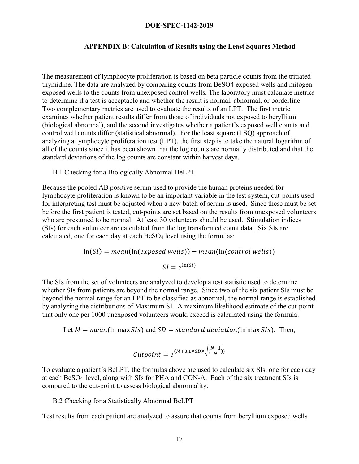#### **APPENDIX B: Calculation of Results using the Least Squares Method**

<span id="page-23-0"></span>The measurement of lymphocyte proliferation is based on beta particle counts from the tritiated thymidine. The data are analyzed by comparing counts from BeSO4 exposed wells and mitogen exposed wells to the counts from unexposed control wells. The laboratory must calculate metrics to determine if a test is acceptable and whether the result is normal, abnormal, or borderline. Two complementary metrics are used to evaluate the results of an LPT. The first metric examines whether patient results differ from those of individuals not exposed to beryllium (biological abnormal), and the second investigates whether a patient's exposed well counts and control well counts differ (statistical abnormal). For the least square (LSQ) approach of analyzing a lymphocyte proliferation test (LPT), the first step is to take the natural logarithm of all of the counts since it has been shown that the log counts are normally distributed and that the standard deviations of the log counts are constant within harvest days.

<span id="page-23-1"></span>B.1 Checking for a Biologically Abnormal BeLPT

Because the pooled AB positive serum used to provide the human proteins needed for lymphocyte proliferation is known to be an important variable in the test system, cut-points used for interpreting test must be adjusted when a new batch of serum is used. Since these must be set before the first patient is tested, cut-points are set based on the results from unexposed volunteers who are presumed to be normal. At least 30 volunteers should be used. Stimulation indices (SIs) for each volunteer are calculated from the log transformed count data. Six SIs are calculated, one for each day at each BeSO4 level using the formulas:

$$
\ln(SI) = mean(\ln(exposed wells)) - mean(\ln(control wells))
$$

$$
SI = e^{\ln(SI)}
$$

The SIs from the set of volunteers are analyzed to develop a test statistic used to determine whether SIs from patients are beyond the normal range. Since two of the six patient SIs must be beyond the normal range for an LPT to be classified as abnormal, the normal range is established by analyzing the distributions of Maximum SI. A maximum likelihood estimate of the cut-point that only one per 1000 unexposed volunteers would exceed is calculated using the formula:

Let  $M = mean(\ln \max S/s)$  and  $SD = standard deviation(\ln \max S/s)$ . Then,

$$
Cutpoint = e^{(M+3.1 \times SD \times \sqrt{\frac{(N-1)}{N})})}
$$

To evaluate a patient's BeLPT, the formulas above are used to calculate six SIs, one for each day at each BeSO4 level, along with SIs for PHA and CON-A. Each of the six treatment SIs is compared to the cut-point to assess biological abnormality.

<span id="page-23-2"></span>B.2 Checking for a Statistically Abnormal BeLPT

Test results from each patient are analyzed to assure that counts from beryllium exposed wells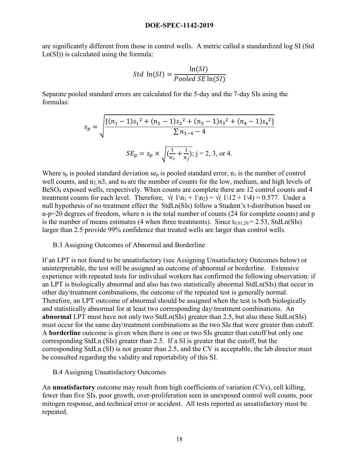are significantly different from those in control wells. A metric called a standardized log SI (Std Ln(SI)) is calculated using the formula:

$$
Std \ln(SI) = \frac{\ln(SI)}{Pooled SE \ln(SI)}
$$

Separate pooled standard errors are calculated for the 5-day and the 7-day SIs using the formulas:

$$
s_p = \sqrt{\frac{\{(n_1 - 1)s_1^2 + (n_2 - 1)s_2^2 + (n_3 - 1)s_3^2 + (n_4 - 1)s_4^2\}}{\sum n_{1-4} - 4}}
$$
  

$$
SE_p = s_p \times \sqrt{\frac{1}{n_1} + \frac{1}{n_j}}; j = 2, 3, \text{ or } 4.
$$

Where  $s_p$  is pooled standard deviation  $s_{ep}$  is pooled standard error,  $n_1$  is the number of control well counts, and  $n_2$  n3, and  $n_4$  are the number of counts for the low, medium, and high levels of BeSO4 exposed wells, respectively. When counts are complete there are 12 control counts and 4 treatment counts for each level. Therefore,  $\sqrt{(1\ln_1 + 1\ln_2)} = \sqrt{(1\sqrt{12} + 1\sqrt{4})} = 0.577$ . Under a null hypothesis of no treatment effect the StdLn(SIs) follow a Student's t-distribution based on n-p=20 degrees of freedom, where n is the total number of counts (24 for complete counts) and p is the number of means estimates (4 when three treatments). Since  $t_{0.01,20} = 2.53$ , StdLn(SIs) larger than 2.5 provide 99% confidence that treated wells are larger than control wells.

#### <span id="page-24-0"></span>B.3 Assigning Outcomes of Abnormal and Borderline

If an LPT is not found to be unsatisfactory (see Assigning Unsatisfactory Outcomes below) or uninterpretable, the test will be assigned an outcome of abnormal or borderline. Extensive experience with repeated tests for individual workers has confirmed the following observation: if an LPT is biologically abnormal and also has two statistically abnormal StdLn(SIs) that occur in other day\treatment combinations, the outcome of the repeated test is generally normal. Therefore, an LPT outcome of abnormal should be assigned when the test is both biologically and statistically abnormal for at least two corresponding day\treatment combinations. An **abnormal** LPT must have not only two StdLn(SIs) greater than 2.5, but also these StdLn(SIs) must occur for the same day\treatment combinations as the two SIs that were greater than cutoff. A **borderline** outcome is given when there is one or two SIs greater than cutoff but only one corresponding StdLn (SIs) greater than 2.5. If a SI is greater that the cutoff, but the corresponding StdLn (SI) is not greater than 2.5, and the CV is acceptable, the lab director must be consulted regarding the validity and reportability of this SI.

#### <span id="page-24-1"></span>B.4 Assigning Unsatisfactory Outcomes

An **unsatisfactory** outcome may result from high coefficients of variation (CVs), cell killing, fewer than five SIs, poor growth, over-proliferation seen in unexposed control well counts, poor mitogen response, and technical error or accident. All tests reported as unsatisfactory must be repeated.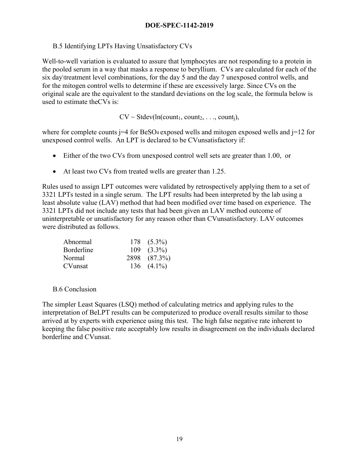#### <span id="page-25-0"></span>B.5 Identifying LPTs Having Unsatisfactory CVs

Well-to-well variation is evaluated to assure that lymphocytes are not responding to a protein in the pooled serum in a way that masks a response to beryllium. CVs are calculated for each of the six day\treatment level combinations, for the day 5 and the day 7 unexposed control wells, and for the mitogen control wells to determine if these are excessively large. Since CVs on the original scale are the equivalent to the standard deviations on the log scale, the formula below is used to estimate theCVs is:

 $CV \sim \text{Stdev}(\ln(\text{count}_1, \text{count}_2, \ldots, \text{count}_i)),$ 

where for complete counts j=4 for BeSO<sub>4</sub> exposed wells and mitogen exposed wells and j=12 for unexposed control wells. An LPT is declared to be CVunsatisfactory if:

- Either of the two CVs from unexposed control well sets are greater than 1.00, or
- At least two CVs from treated wells are greater than 1.25.

Rules used to assign LPT outcomes were validated by retrospectively applying them to a set of 3321 LPTs tested in a single serum. The LPT results had been interpreted by the lab using a least absolute value (LAV) method that had been modified over time based on experience. The 3321 LPTs did not include any tests that had been given an LAV method outcome of uninterpretable or unsatisfactory for any reason other than CVunsatisfactory. LAV outcomes were distributed as follows.

| Abnormal   | $178$ $(5.3\%)$ |
|------------|-----------------|
| Borderline | $109$ $(3.3\%)$ |
| Normal     | 2898 (87.3%)    |
| CVunsat    | 136 $(4.1\%)$   |

#### <span id="page-25-1"></span>B.6 Conclusion

The simpler Least Squares (LSQ) method of calculating metrics and applying rules to the interpretation of BeLPT results can be computerized to produce overall results similar to those arrived at by experts with experience using this test. The high false negative rate inherent to keeping the false positive rate acceptably low results in disagreement on the individuals declared borderline and CVunsat.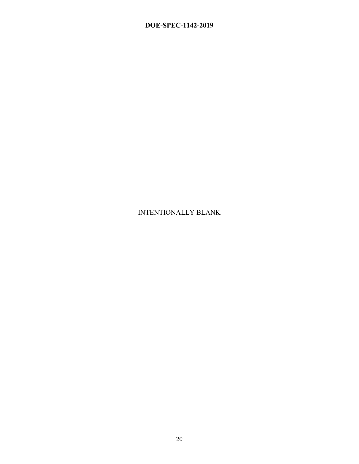### INTENTIONALLY BLANK